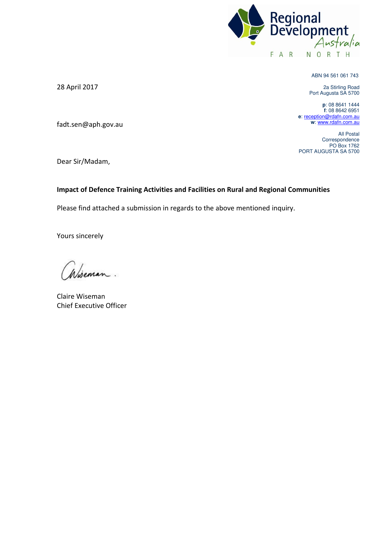

ABN 94 561 061 743

2a Stirling Road Port Augusta SA 5700

**p**: 08 8641 1444 **f**: 08 8642 6951 **e**: [reception@rdafn.com.au](mailto:reception@rdafn.com.au) **w**[: www.rdafn.com.au](http://www.rdafn.com.au/) 

All Postal Correspondence PO Box 1762 PORT AUGUSTA SA 5700

28 April 2017

fadt.sen@aph.gov.au

Dear Sir/Madam,

### **Impact of Defence Training Activities and Facilities on Rural and Regional Communities**

Please find attached a submission in regards to the above mentioned inquiry.

Yours sincerely

Claire Wiseman Chief Executive Officer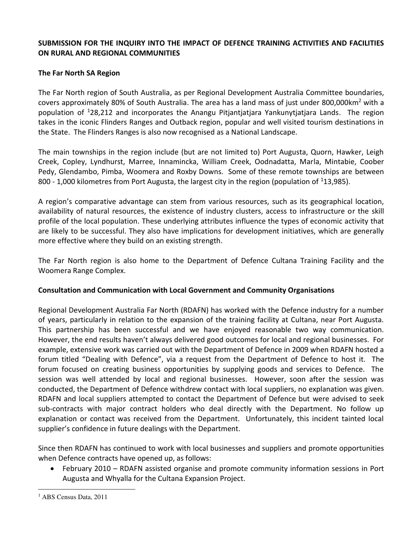### **SUBMISSION FOR THE INQUIRY INTO THE IMPACT OF DEFENCE TRAINING ACTIVITIES AND FACILITIES ON RURAL AND REGIONAL COMMUNITIES**

## **The Far North SA Region**

The Far North region of South Australia, as per Regional Development Australia Committee boundaries, covers approximately 80% of South Australia. The area has a land mass of just under 800,000km<sup>2</sup> with a population of <sup>1</sup>28,212 and incorporates the Anangu Pitjantjatjara Yankunytjatjara Lands. The region takes in the iconic Flinders Ranges and Outback region, popular and well visited tourism destinations in the State. The Flinders Ranges is also now recognised as a National Landscape.

The main townships in the region include (but are not limited to) Port Augusta, Quorn, Hawker, Leigh Creek, Copley, Lyndhurst, Marree, Innamincka, William Creek, Oodnadatta, Marla, Mintabie, Coober Pedy, Glendambo, Pimba, Woomera and Roxby Downs. Some of these remote townships are between 800 - 1,000 kilometres from Port Augusta, the largest city in the region (population of <sup>1</sup>13,985).

A region's comparative advantage can stem from various resources, such as its geographical location, availability of natural resources, the existence of industry clusters, access to infrastructure or the skill profile of the local population. These underlying attributes influence the types of economic activity that are likely to be successful. They also have implications for development initiatives, which are generally more effective where they build on an existing strength.

The Far North region is also home to the Department of Defence Cultana Training Facility and the Woomera Range Complex.

### **Consultation and Communication with Local Government and Community Organisations**

Regional Development Australia Far North (RDAFN) has worked with the Defence industry for a number of years, particularly in relation to the expansion of the training facility at Cultana, near Port Augusta. This partnership has been successful and we have enjoyed reasonable two way communication. However, the end results haven't always delivered good outcomes for local and regional businesses. For example, extensive work was carried out with the Department of Defence in 2009 when RDAFN hosted a forum titled "Dealing with Defence", via a request from the Department of Defence to host it. The forum focused on creating business opportunities by supplying goods and services to Defence. The session was well attended by local and regional businesses. However, soon after the session was conducted, the Department of Defence withdrew contact with local suppliers, no explanation was given. RDAFN and local suppliers attempted to contact the Department of Defence but were advised to seek sub-contracts with major contract holders who deal directly with the Department. No follow up explanation or contact was received from the Department. Unfortunately, this incident tainted local supplier's confidence in future dealings with the Department.

Since then RDAFN has continued to work with local businesses and suppliers and promote opportunities when Defence contracts have opened up, as follows:

 February 2010 – RDAFN assisted organise and promote community information sessions in Port Augusta and Whyalla for the Cultana Expansion Project.

 $\overline{a}$ 

<sup>&</sup>lt;sup>1</sup> ABS Census Data, 2011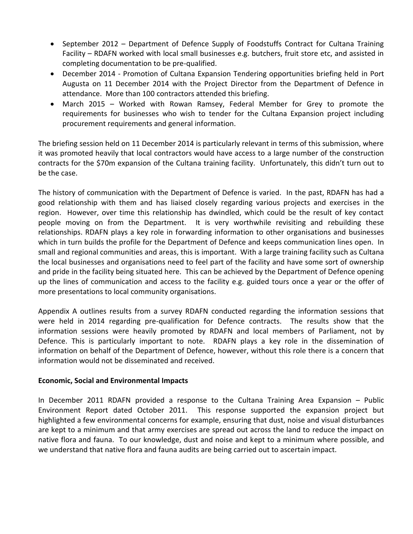- September 2012 Department of Defence Supply of Foodstuffs Contract for Cultana Training Facility – RDAFN worked with local small businesses e.g. butchers, fruit store etc, and assisted in completing documentation to be pre-qualified.
- December 2014 Promotion of Cultana Expansion Tendering opportunities briefing held in Port Augusta on 11 December 2014 with the Project Director from the Department of Defence in attendance. More than 100 contractors attended this briefing.
- March 2015 Worked with Rowan Ramsey, Federal Member for Grey to promote the requirements for businesses who wish to tender for the Cultana Expansion project including procurement requirements and general information.

The briefing session held on 11 December 2014 is particularly relevant in terms of this submission, where it was promoted heavily that local contractors would have access to a large number of the construction contracts for the \$70m expansion of the Cultana training facility. Unfortunately, this didn't turn out to be the case.

The history of communication with the Department of Defence is varied. In the past, RDAFN has had a good relationship with them and has liaised closely regarding various projects and exercises in the region. However, over time this relationship has dwindled, which could be the result of key contact people moving on from the Department. It is very worthwhile revisiting and rebuilding these relationships. RDAFN plays a key role in forwarding information to other organisations and businesses which in turn builds the profile for the Department of Defence and keeps communication lines open. In small and regional communities and areas, this is important. With a large training facility such as Cultana the local businesses and organisations need to feel part of the facility and have some sort of ownership and pride in the facility being situated here. This can be achieved by the Department of Defence opening up the lines of communication and access to the facility e.g. guided tours once a year or the offer of more presentations to local community organisations.

Appendix A outlines results from a survey RDAFN conducted regarding the information sessions that were held in 2014 regarding pre-qualification for Defence contracts. The results show that the information sessions were heavily promoted by RDAFN and local members of Parliament, not by Defence. This is particularly important to note. RDAFN plays a key role in the dissemination of information on behalf of the Department of Defence, however, without this role there is a concern that information would not be disseminated and received.

## **Economic, Social and Environmental Impacts**

In December 2011 RDAFN provided a response to the Cultana Training Area Expansion – Public Environment Report dated October 2011. This response supported the expansion project but highlighted a few environmental concerns for example, ensuring that dust, noise and visual disturbances are kept to a minimum and that army exercises are spread out across the land to reduce the impact on native flora and fauna. To our knowledge, dust and noise and kept to a minimum where possible, and we understand that native flora and fauna audits are being carried out to ascertain impact.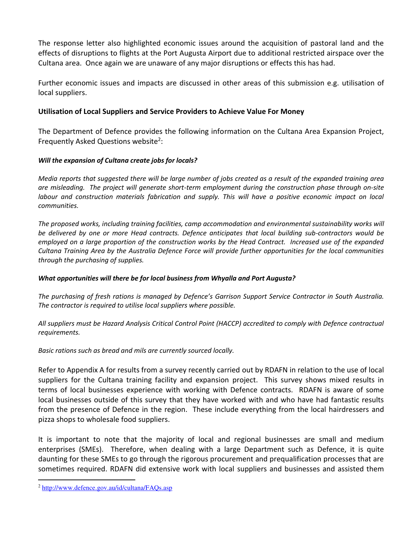The response letter also highlighted economic issues around the acquisition of pastoral land and the effects of disruptions to flights at the Port Augusta Airport due to additional restricted airspace over the Cultana area. Once again we are unaware of any major disruptions or effects this has had.

Further economic issues and impacts are discussed in other areas of this submission e.g. utilisation of local suppliers.

# **Utilisation of Local Suppliers and Service Providers to Achieve Value For Money**

The Department of Defence provides the following information on the Cultana Area Expansion Project, Frequently Asked Questions website<sup>2</sup>:

## *Will the expansion of Cultana create jobs for locals?*

*Media reports that suggested there will be large number of jobs created as a result of the expanded training area are misleading. The project will generate short-term employment during the construction phase through on-site labour and construction materials fabrication and supply. This will have a positive economic impact on local communities.* 

*The proposed works, including training facilities, camp accommodation and environmental sustainability works will be delivered by one or more Head contracts. Defence anticipates that local building sub-contractors would be employed on a large proportion of the construction works by the Head Contract. Increased use of the expanded Cultana Training Area by the Australia Defence Force will provide further opportunities for the local communities through the purchasing of supplies.* 

## *What opportunities will there be for local business from Whyalla and Port Augusta?*

*The purchasing of fresh rations is managed by Defence's Garrison Support Service Contractor in South Australia. The contractor is required to utilise local suppliers where possible.* 

*All suppliers must be Hazard Analysis Critical Control Point (HACCP) accredited to comply with Defence contractual requirements.* 

*Basic rations such as bread and mils are currently sourced locally.* 

Refer to Appendix A for results from a survey recently carried out by RDAFN in relation to the use of local suppliers for the Cultana training facility and expansion project. This survey shows mixed results in terms of local businesses experience with working with Defence contracts. RDAFN is aware of some local businesses outside of this survey that they have worked with and who have had fantastic results from the presence of Defence in the region. These include everything from the local hairdressers and pizza shops to wholesale food suppliers.

It is important to note that the majority of local and regional businesses are small and medium enterprises (SMEs). Therefore, when dealing with a large Department such as Defence, it is quite daunting for these SMEs to go through the rigorous procurement and prequalification processes that are sometimes required. RDAFN did extensive work with local suppliers and businesses and assisted them

 $\overline{a}$ <sup>2</sup> http://www.defence.gov.au/id/cultana/FAQs.asp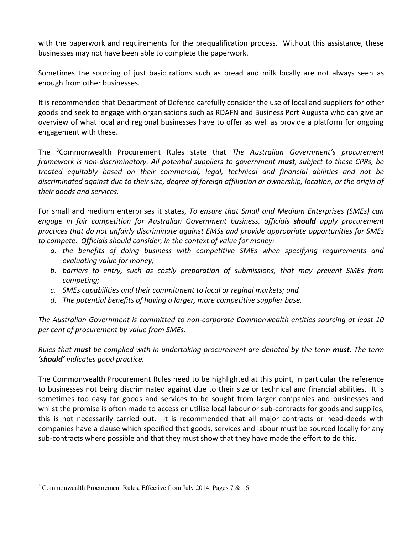with the paperwork and requirements for the prequalification process. Without this assistance, these businesses may not have been able to complete the paperwork.

Sometimes the sourcing of just basic rations such as bread and milk locally are not always seen as enough from other businesses.

It is recommended that Department of Defence carefully consider the use of local and suppliers for other goods and seek to engage with organisations such as RDAFN and Business Port Augusta who can give an overview of what local and regional businesses have to offer as well as provide a platform for ongoing engagement with these.

The <sup>3</sup>Commonwealth Procurement Rules state that *The Australian Government's procurement framework is non-discriminatory. All potential suppliers to government must, subject to these CPRs, be treated equitably based on their commercial, legal, technical and financial abilities and not be discriminated against due to their size, degree of foreign affiliation or ownership, location, or the origin of their goods and services.*

For small and medium enterprises it states, *To ensure that Small and Medium Enterprises (SMEs) can engage in fair competition for Australian Government business, officials should apply procurement practices that do not unfairly discriminate against EMSs and provide appropriate opportunities for SMEs to compete. Officials should consider, in the context of value for money:* 

- *a. the benefits of doing business with competitive SMEs when specifying requirements and evaluating value for money;*
- *b. barriers to entry, such as costly preparation of submissions, that may prevent SMEs from competing;*
- *c. SMEs capabilities and their commitment to local or reginal markets; and*
- *d. The potential benefits of having a larger, more competitive supplier base.*

*The Australian Government is committed to non-corporate Commonwealth entities sourcing at least 10 per cent of procurement by value from SMEs.*

*Rules that must be complied with in undertaking procurement are denoted by the term must. The term 'should' indicates good practice.* 

The Commonwealth Procurement Rules need to be highlighted at this point, in particular the reference to businesses not being discriminated against due to their size or technical and financial abilities. It is sometimes too easy for goods and services to be sought from larger companies and businesses and whilst the promise is often made to access or utilise local labour or sub-contracts for goods and supplies, this is not necessarily carried out. It is recommended that all major contracts or head-deeds with companies have a clause which specified that goods, services and labour must be sourced locally for any sub-contracts where possible and that they must show that they have made the effort to do this.

 $\overline{a}$ 

<sup>&</sup>lt;sup>3</sup> Commonwealth Procurement Rules, Effective from July 2014, Pages 7 & 16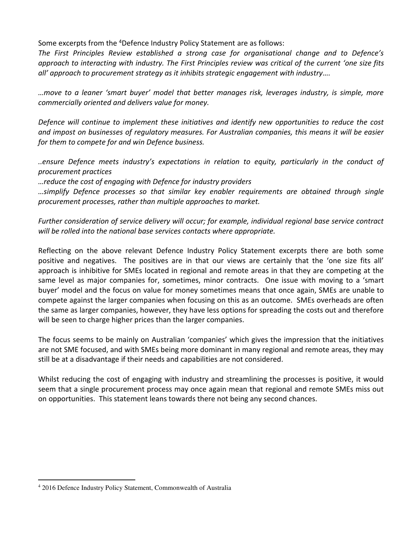Some excerpts from the <sup>4</sup>Defence Industry Policy Statement are as follows:

*The First Principles Review established a strong case for organisational change and to Defence's approach to interacting with industry. The First Principles review was critical of the current 'one size fits all' approach to procurement strategy as it inhibits strategic engagement with industry….*

*…move to a leaner 'smart buyer' model that better manages risk, leverages industry, is simple, more commercially oriented and delivers value for money.* 

*Defence will continue to implement these initiatives and identify new opportunities to reduce the cost and impost on businesses of regulatory measures. For Australian companies, this means it will be easier for them to compete for and win Defence business.* 

*..ensure Defence meets industry's expectations in relation to equity, particularly in the conduct of procurement practices* 

*…reduce the cost of engaging with Defence for industry providers* 

*…simplify Defence processes so that similar key enabler requirements are obtained through single procurement processes, rather than multiple approaches to market.* 

*Further consideration of service delivery will occur; for example, individual regional base service contract will be rolled into the national base services contacts where appropriate.* 

Reflecting on the above relevant Defence Industry Policy Statement excerpts there are both some positive and negatives. The positives are in that our views are certainly that the 'one size fits all' approach is inhibitive for SMEs located in regional and remote areas in that they are competing at the same level as major companies for, sometimes, minor contracts. One issue with moving to a 'smart buyer' model and the focus on value for money sometimes means that once again, SMEs are unable to compete against the larger companies when focusing on this as an outcome. SMEs overheads are often the same as larger companies, however, they have less options for spreading the costs out and therefore will be seen to charge higher prices than the larger companies.

The focus seems to be mainly on Australian 'companies' which gives the impression that the initiatives are not SME focused, and with SMEs being more dominant in many regional and remote areas, they may still be at a disadvantage if their needs and capabilities are not considered.

Whilst reducing the cost of engaging with industry and streamlining the processes is positive, it would seem that a single procurement process may once again mean that regional and remote SMEs miss out on opportunities. This statement leans towards there not being any second chances.

 $\overline{a}$ 

<sup>&</sup>lt;sup>4</sup> 2016 Defence Industry Policy Statement, Commonwealth of Australia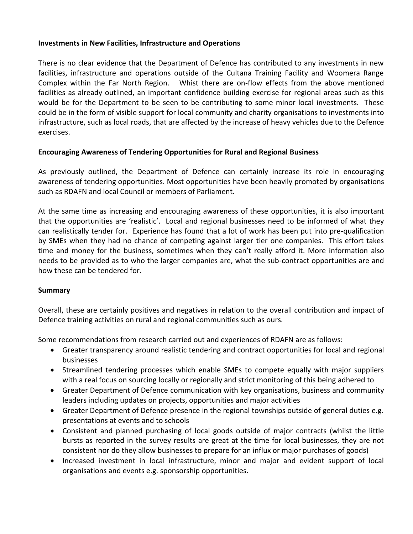#### **Investments in New Facilities, Infrastructure and Operations**

There is no clear evidence that the Department of Defence has contributed to any investments in new facilities, infrastructure and operations outside of the Cultana Training Facility and Woomera Range Complex within the Far North Region. Whist there are on-flow effects from the above mentioned facilities as already outlined, an important confidence building exercise for regional areas such as this would be for the Department to be seen to be contributing to some minor local investments. These could be in the form of visible support for local community and charity organisations to investments into infrastructure, such as local roads, that are affected by the increase of heavy vehicles due to the Defence exercises.

### **Encouraging Awareness of Tendering Opportunities for Rural and Regional Business**

As previously outlined, the Department of Defence can certainly increase its role in encouraging awareness of tendering opportunities. Most opportunities have been heavily promoted by organisations such as RDAFN and local Council or members of Parliament.

At the same time as increasing and encouraging awareness of these opportunities, it is also important that the opportunities are 'realistic'. Local and regional businesses need to be informed of what they can realistically tender for. Experience has found that a lot of work has been put into pre-qualification by SMEs when they had no chance of competing against larger tier one companies. This effort takes time and money for the business, sometimes when they can't really afford it. More information also needs to be provided as to who the larger companies are, what the sub-contract opportunities are and how these can be tendered for.

### **Summary**

Overall, these are certainly positives and negatives in relation to the overall contribution and impact of Defence training activities on rural and regional communities such as ours.

Some recommendations from research carried out and experiences of RDAFN are as follows:

- Greater transparency around realistic tendering and contract opportunities for local and regional businesses
- Streamlined tendering processes which enable SMEs to compete equally with major suppliers with a real focus on sourcing locally or regionally and strict monitoring of this being adhered to
- Greater Department of Defence communication with key organisations, business and community leaders including updates on projects, opportunities and major activities
- Greater Department of Defence presence in the regional townships outside of general duties e.g. presentations at events and to schools
- Consistent and planned purchasing of local goods outside of major contracts (whilst the little bursts as reported in the survey results are great at the time for local businesses, they are not consistent nor do they allow businesses to prepare for an influx or major purchases of goods)
- Increased investment in local infrastructure, minor and major and evident support of local organisations and events e.g. sponsorship opportunities.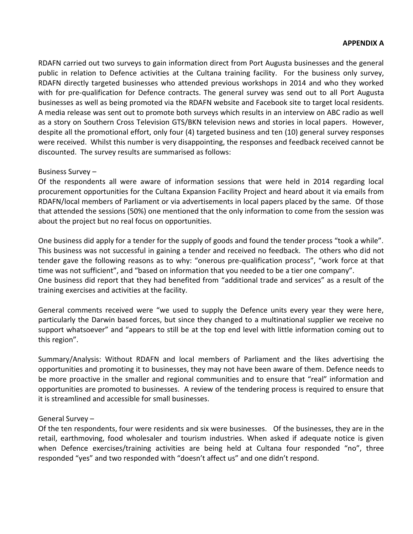RDAFN carried out two surveys to gain information direct from Port Augusta businesses and the general public in relation to Defence activities at the Cultana training facility. For the business only survey, RDAFN directly targeted businesses who attended previous workshops in 2014 and who they worked with for pre-qualification for Defence contracts. The general survey was send out to all Port Augusta businesses as well as being promoted via the RDAFN website and Facebook site to target local residents. A media release was sent out to promote both surveys which results in an interview on ABC radio as well as a story on Southern Cross Television GTS/BKN television news and stories in local papers. However, despite all the promotional effort, only four (4) targeted business and ten (10) general survey responses were received. Whilst this number is very disappointing, the responses and feedback received cannot be discounted. The survey results are summarised as follows:

### Business Survey –

Of the respondents all were aware of information sessions that were held in 2014 regarding local procurement opportunities for the Cultana Expansion Facility Project and heard about it via emails from RDAFN/local members of Parliament or via advertisements in local papers placed by the same. Of those that attended the sessions (50%) one mentioned that the only information to come from the session was about the project but no real focus on opportunities.

One business did apply for a tender for the supply of goods and found the tender process "took a while". This business was not successful in gaining a tender and received no feedback. The others who did not tender gave the following reasons as to why: "onerous pre-qualification process", "work force at that time was not sufficient", and "based on information that you needed to be a tier one company". One business did report that they had benefited from "additional trade and services" as a result of the training exercises and activities at the facility.

General comments received were "we used to supply the Defence units every year they were here, particularly the Darwin based forces, but since they changed to a multinational supplier we receive no support whatsoever" and "appears to still be at the top end level with little information coming out to this region".

Summary/Analysis: Without RDAFN and local members of Parliament and the likes advertising the opportunities and promoting it to businesses, they may not have been aware of them. Defence needs to be more proactive in the smaller and regional communities and to ensure that "real" information and opportunities are promoted to businesses. A review of the tendering process is required to ensure that it is streamlined and accessible for small businesses.

### General Survey –

Of the ten respondents, four were residents and six were businesses. Of the businesses, they are in the retail, earthmoving, food wholesaler and tourism industries. When asked if adequate notice is given when Defence exercises/training activities are being held at Cultana four responded "no", three responded "yes" and two responded with "doesn't affect us" and one didn't respond.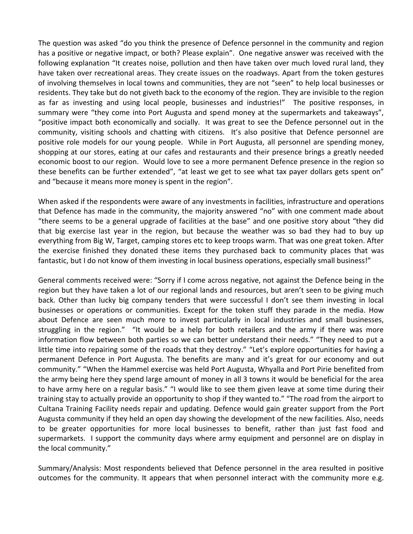The question was asked "do you think the presence of Defence personnel in the community and region has a positive or negative impact, or both? Please explain". One negative answer was received with the following explanation "It creates noise, pollution and then have taken over much loved rural land, they have taken over recreational areas. They create issues on the roadways. Apart from the token gestures of involving themselves in local towns and communities, they are not "seen" to help local businesses or residents. They take but do not giveth back to the economy of the region. They are invisible to the region as far as investing and using local people, businesses and industries!" The positive responses, in summary were "they come into Port Augusta and spend money at the supermarkets and takeaways", "positive impact both economically and socially. It was great to see the Defence personnel out in the community, visiting schools and chatting with citizens. It's also positive that Defence personnel are positive role models for our young people. While in Port Augusta, all personnel are spending money, shopping at our stores, eating at our cafes and restaurants and their presence brings a greatly needed economic boost to our region. Would love to see a more permanent Defence presence in the region so these benefits can be further extended", "at least we get to see what tax payer dollars gets spent on" and "because it means more money is spent in the region".

When asked if the respondents were aware of any investments in facilities, infrastructure and operations that Defence has made in the community, the majority answered "no" with one comment made about "there seems to be a general upgrade of facilities at the base" and one positive story about "they did that big exercise last year in the region, but because the weather was so bad they had to buy up everything from Big W, Target, camping stores etc to keep troops warm. That was one great token. After the exercise finished they donated these items they purchased back to community places that was fantastic, but I do not know of them investing in local business operations, especially small business!"

General comments received were: "Sorry if I come across negative, not against the Defence being in the region but they have taken a lot of our regional lands and resources, but aren't seen to be giving much back. Other than lucky big company tenders that were successful I don't see them investing in local businesses or operations or communities. Except for the token stuff they parade in the media. How about Defence are seen much more to invest particularly in local industries and small businesses, struggling in the region." "It would be a help for both retailers and the army if there was more information flow between both parties so we can better understand their needs." "They need to put a little time into repairing some of the roads that they destroy." "Let's explore opportunities for having a permanent Defence in Port Augusta. The benefits are many and it's great for our economy and out community." "When the Hammel exercise was held Port Augusta, Whyalla and Port Pirie benefited from the army being here they spend large amount of money in all 3 towns it would be beneficial for the area to have army here on a regular basis." "I would like to see them given leave at some time during their training stay to actually provide an opportunity to shop if they wanted to." "The road from the airport to Cultana Training Facility needs repair and updating. Defence would gain greater support from the Port Augusta community if they held an open day showing the development of the new facilities. Also, needs to be greater opportunities for more local businesses to benefit, rather than just fast food and supermarkets. I support the community days where army equipment and personnel are on display in the local community."

Summary/Analysis: Most respondents believed that Defence personnel in the area resulted in positive outcomes for the community. It appears that when personnel interact with the community more e.g.